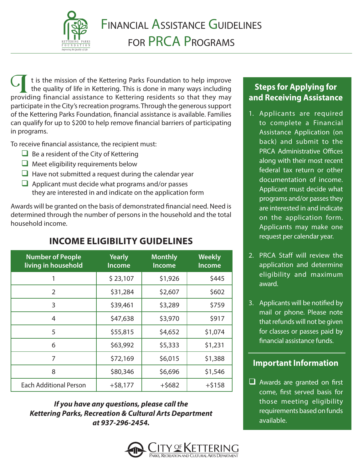

 t is the mission of the Kettering Parks Foundation to help improve the quality of life in Kettering. This is done in many ways including It is the mission of the Kettering Parks Foundation to help improve the quality of life in Kettering. This is done in many ways including providing financial assistance to Kettering residents so that they may participate in the City's recreation programs. Through the generous support of the Kettering Parks Foundation, financial assistance is available. Families can qualify for up to \$200 to help remove financial barriers of participating in programs.

To receive financial assistance, the recipient must:

- $\Box$  Be a resident of the City of Kettering
- $\Box$  Meet eligibility requirements below
- $\Box$  Have not submitted a request during the calendar year
- $\Box$  Applicant must decide what programs and/or passes they are interested in and indicate on the application form

Awards will be granted on the basis of demonstrated financial need. Need is determined through the number of persons in the household and the total household income.

| <b>Number of People</b><br>living in household | <b>Yearly</b><br><b>Income</b> | <b>Monthly</b><br>Income | <b>Weekly</b><br><b>Income</b> |  |
|------------------------------------------------|--------------------------------|--------------------------|--------------------------------|--|
| 1                                              | \$23,107                       | \$1,926                  | \$445                          |  |
| 2                                              | \$31,284                       | \$2,607                  | \$602                          |  |
| 3                                              | \$39,461                       | \$3,289                  | \$759                          |  |
| 4                                              | \$47,638                       | \$3,970                  | \$917                          |  |
| 5                                              | \$55,815                       | \$4,652                  | \$1,074                        |  |
| 6                                              | \$63,992                       | \$5,333                  | \$1,231                        |  |
| 7                                              | \$72,169                       | \$6,015                  | \$1,388                        |  |
| 8                                              | \$80,346                       | \$6,696                  | \$1,546                        |  |
| <b>Each Additional Person</b>                  | $+$ \$8,177                    | $+$ \$682                | $+ $158$                       |  |

# **INCOME ELIGIBILITY GUIDELINES**

*If you have any questions, please call the Kettering Parks, Recreation & Cultural Arts Department at 937-296-2454.*



### **Steps for Applying for and Receiving Assistance**

- 1. Applicants are required to complete a Financial Assistance Application (on back) and submit to the PRCA Administrative Offices along with their most recent federal tax return or other documentation of income. Applicant must decide what programs and/or passes they are interested in and indicate on the application form. Applicants may make one request per calendar year.
- 2. PRCA Staff will review the application and determine eligibility and maximum award.
- 3. Applicants will be notified by mail or phone. Please note that refunds will not be given for classes or passes paid by financial assistance funds.

## **Important Information**

 $\Box$  Awards are granted on first come, first served basis for those meeting eligibility requirements based on funds available.